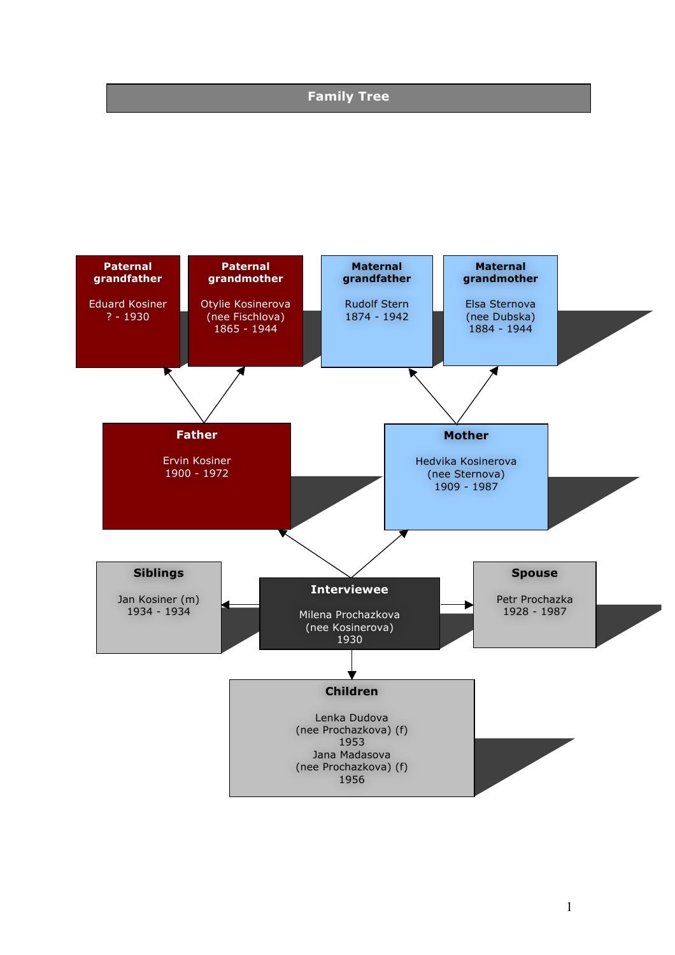# **Family Tree**

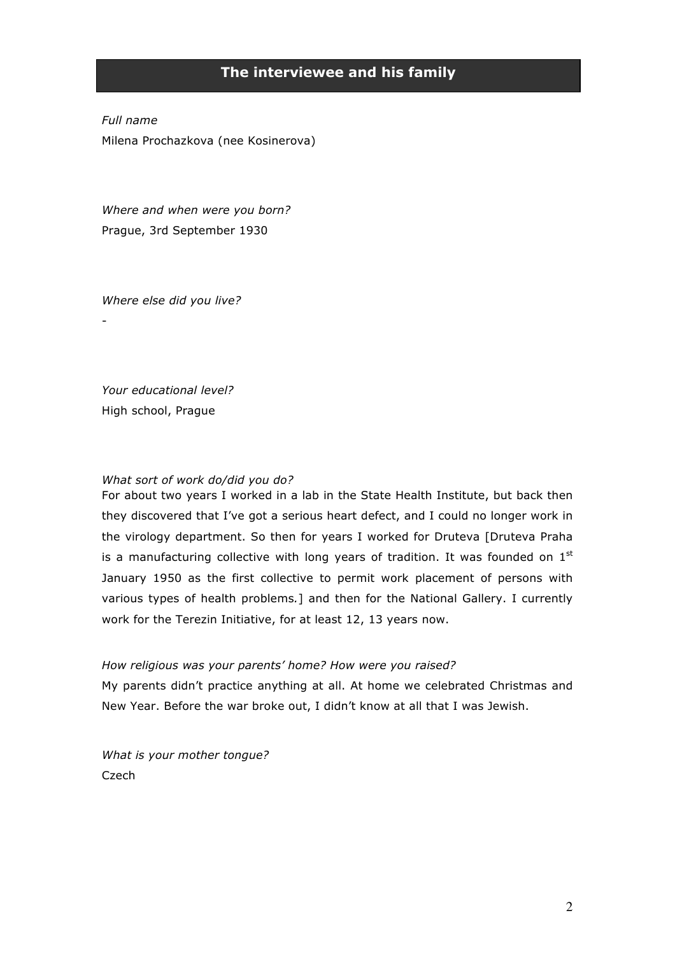# **The interviewee and his family**

*Full name* Milena Prochazkova (nee Kosinerova)

*Where and when were you born?* Prague, 3rd September 1930

*Where else did you live?*

-

*Your educational level?* High school, Prague

#### *What sort of work do/did you do?*

For about two years I worked in a lab in the State Health Institute, but back then they discovered that I've got a serious heart defect, and I could no longer work in the virology department. So then for years I worked for Druteva [Druteva Praha is a manufacturing collective with long years of tradition. It was founded on  $1<sup>st</sup>$ January 1950 as the first collective to permit work placement of persons with various types of health problems*.*] and then for the National Gallery. I currently work for the Terezin Initiative, for at least 12, 13 years now.

### *How religious was your parents' home? How were you raised?*

My parents didn't practice anything at all. At home we celebrated Christmas and New Year. Before the war broke out, I didn't know at all that I was Jewish.

*What is your mother tongue?* Czech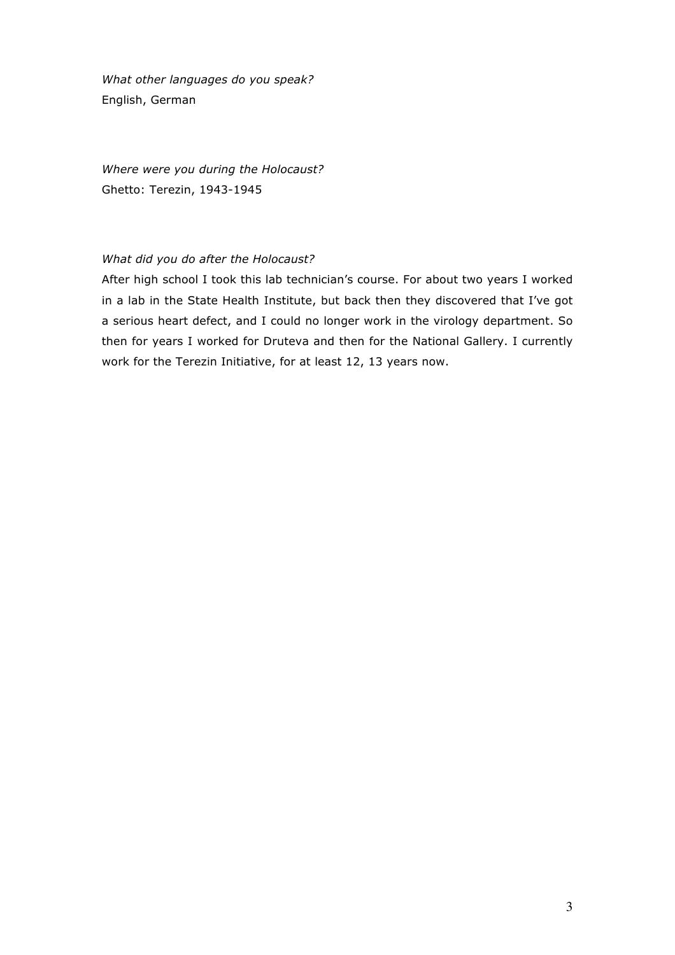*What other languages do you speak?* English, German

*Where were you during the Holocaust?* Ghetto: Terezin, 1943-1945

### *What did you do after the Holocaust?*

After high school I took this lab technician's course. For about two years I worked in a lab in the State Health Institute, but back then they discovered that I've got a serious heart defect, and I could no longer work in the virology department. So then for years I worked for Druteva and then for the National Gallery. I currently work for the Terezin Initiative, for at least 12, 13 years now.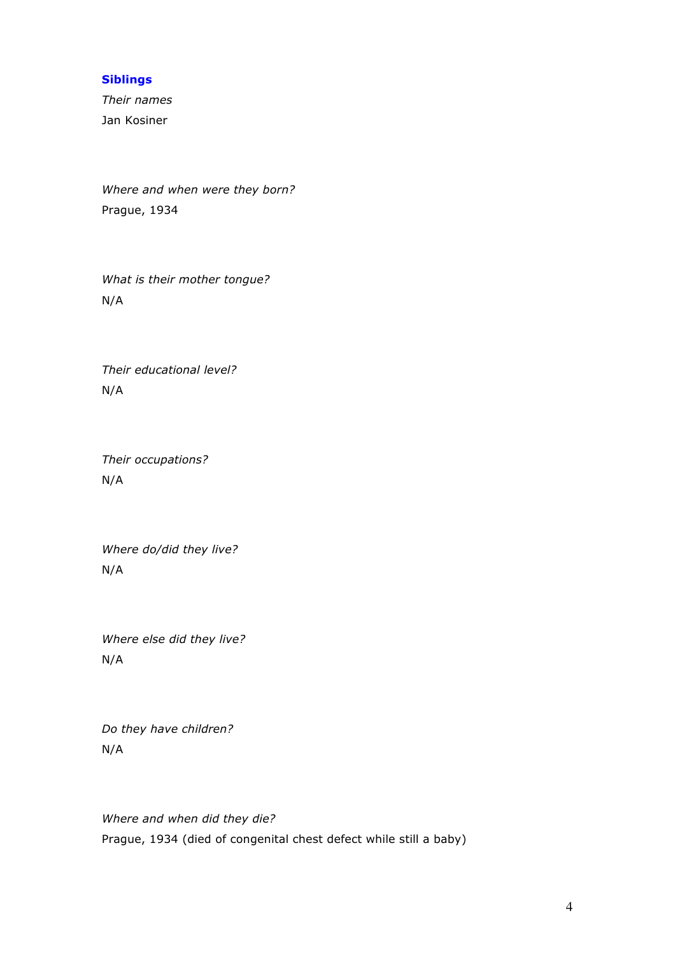### **Siblings**

*Their names* Jan Kosiner

*Where and when were they born?* Prague, 1934

*What is their mother tongue?* N/A

*Their educational level?* N/A

*Their occupations?* N/A

*Where do/did they live?*  N/A

*Where else did they live?* N/A

*Do they have children?* N/A

*Where and when did they die?* Prague, 1934 (died of congenital chest defect while still a baby)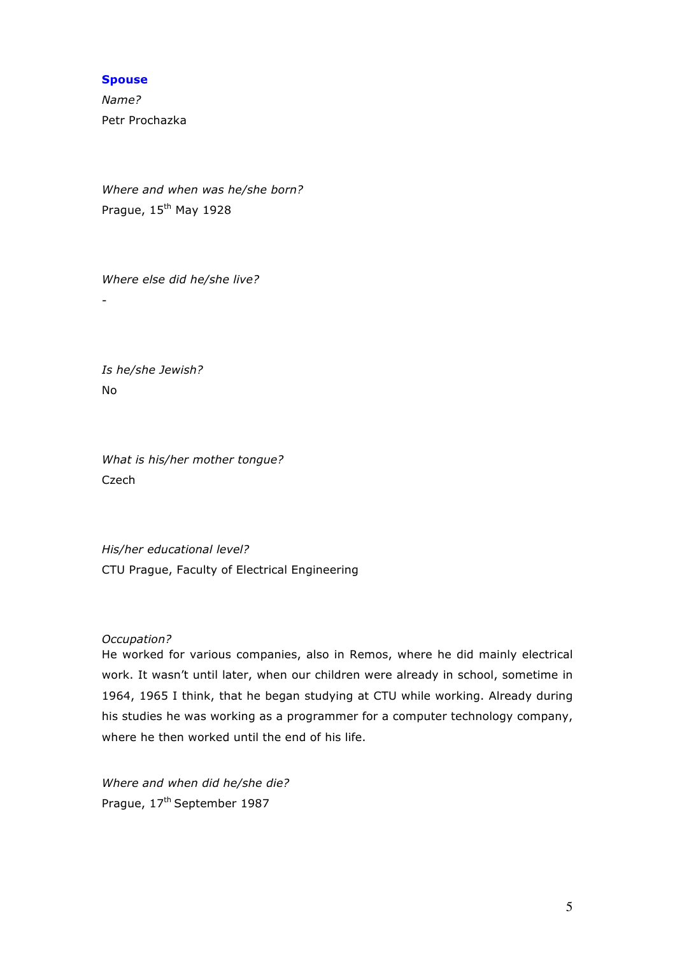### **Spouse**

*Name?* Petr Prochazka

*Where and when was he/she born?* Prague, 15<sup>th</sup> May 1928

*Where else did he/she live?*

-

*Is he/she Jewish?* No

*What is his/her mother tongue?* Czech

*His/her educational level?* CTU Prague, Faculty of Electrical Engineering

### *Occupation?*

He worked for various companies, also in Remos, where he did mainly electrical work. It wasn't until later, when our children were already in school, sometime in 1964, 1965 I think, that he began studying at CTU while working. Already during his studies he was working as a programmer for a computer technology company, where he then worked until the end of his life.

*Where and when did he/she die?* Prague, 17<sup>th</sup> September 1987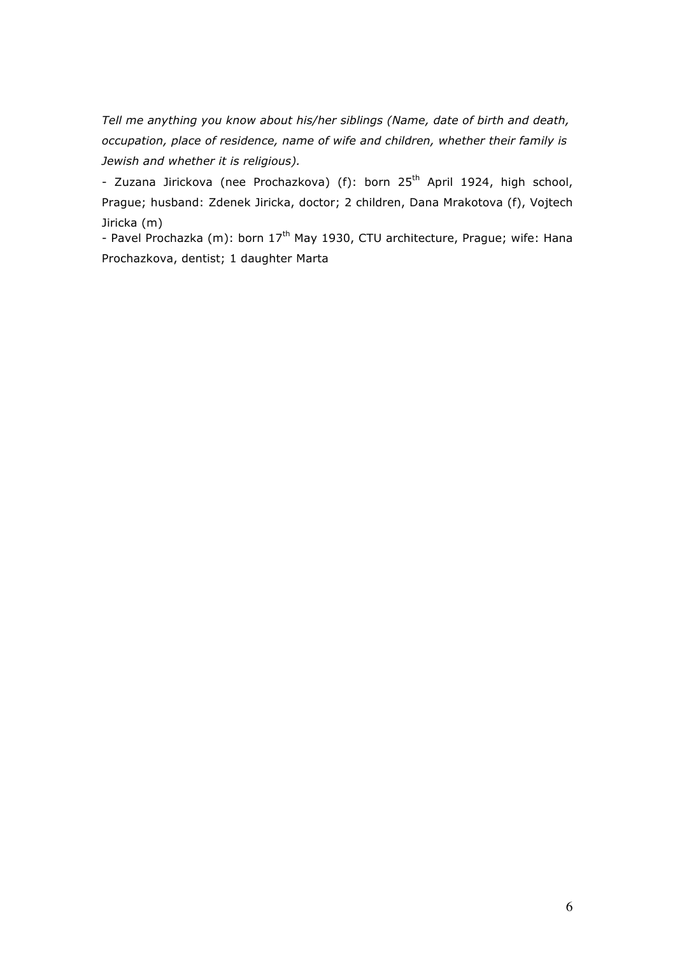*Tell me anything you know about his/her siblings (Name, date of birth and death, occupation, place of residence, name of wife and children, whether their family is Jewish and whether it is religious).*

- Zuzana Jirickova (nee Prochazkova) (f): born 25<sup>th</sup> April 1924, high school, Prague; husband: Zdenek Jiricka, doctor; 2 children, Dana Mrakotova (f), Vojtech Jiricka (m)

- Pavel Prochazka (m): born 17<sup>th</sup> May 1930, CTU architecture, Prague; wife: Hana Prochazkova, dentist; 1 daughter Marta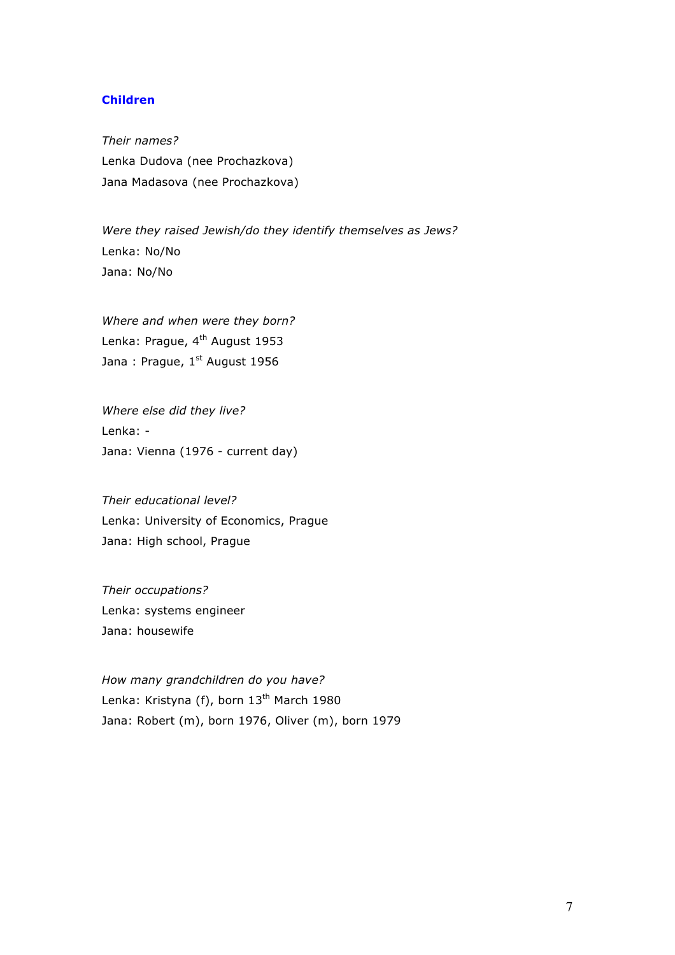### **Children**

*Their names?* Lenka Dudova (nee Prochazkova) Jana Madasova (nee Prochazkova)

*Were they raised Jewish/do they identify themselves as Jews?* Lenka: No/No Jana: No/No

*Where and when were they born?* Lenka: Prague, 4<sup>th</sup> August 1953 Jana: Prague,  $1^{st}$  August 1956

*Where else did they live?* Lenka: - Jana: Vienna (1976 - current day)

*Their educational level?* Lenka: University of Economics, Prague Jana: High school, Prague

*Their occupations?* Lenka: systems engineer Jana: housewife

*How many grandchildren do you have?* Lenka: Kristyna (f), born 13<sup>th</sup> March 1980 Jana: Robert (m), born 1976, Oliver (m), born 1979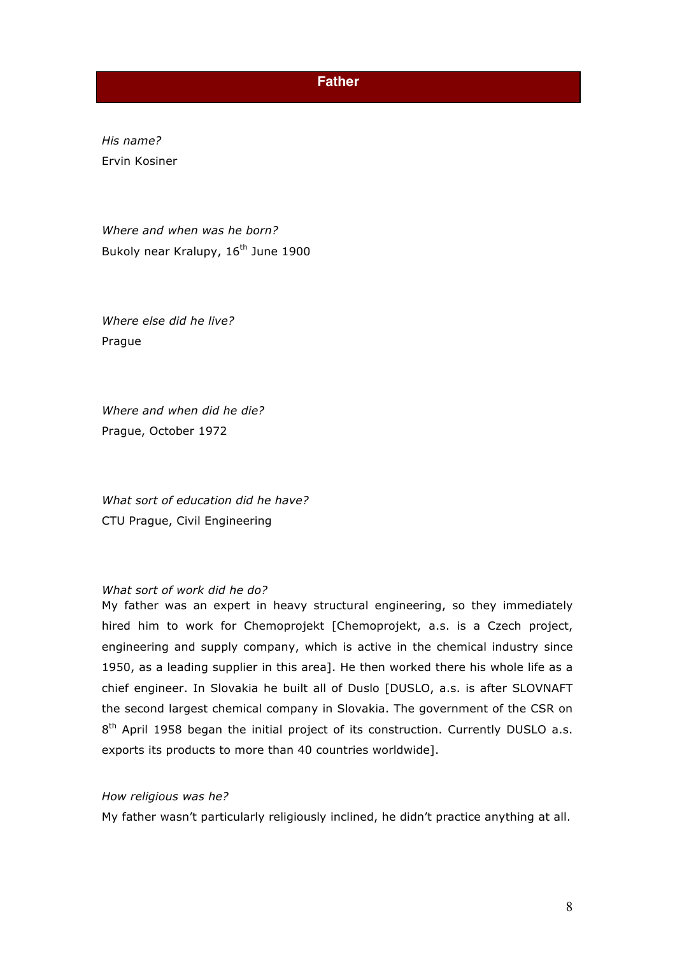## **Father**

*His name?* Ervin Kosiner

*Where and when was he born?* Bukoly near Kralupy, 16<sup>th</sup> June 1900

*Where else did he live?* Prague

*Where and when did he die?* Prague, October 1972

*What sort of education did he have?* CTU Prague, Civil Engineering

### *What sort of work did he do?*

My father was an expert in heavy structural engineering, so they immediately hired him to work for Chemoprojekt [Chemoprojekt, a.s. is a Czech project, engineering and supply company, which is active in the chemical industry since 1950, as a leading supplier in this area]. He then worked there his whole life as a chief engineer. In Slovakia he built all of Duslo [DUSLO, a.s. is after SLOVNAFT the second largest chemical company in Slovakia. The government of the CSR on  $8<sup>th</sup>$  April 1958 began the initial project of its construction. Currently DUSLO a.s. exports its products to more than 40 countries worldwide].

#### *How religious was he?*

My father wasn't particularly religiously inclined, he didn't practice anything at all.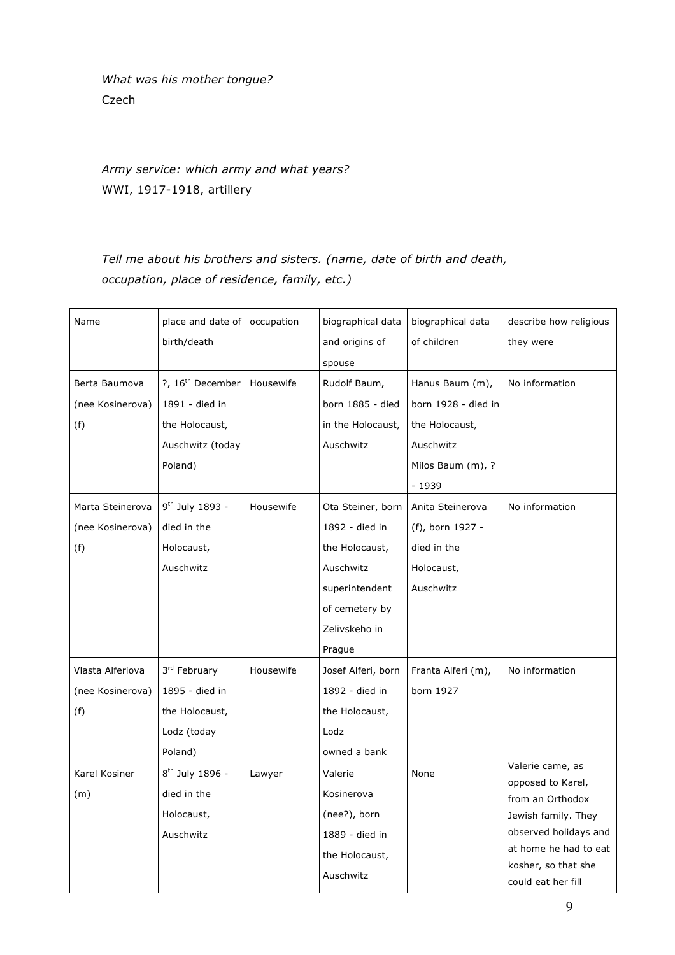*What was his mother tongue?*  Czech

*Army service: which army and what years?* WWI, 1917-1918, artillery

*Tell me about his brothers and sisters. (name, date of birth and death, occupation, place of residence, family, etc.)*

| Name             | place and date of            | occupation | biographical data  | biographical data   | describe how religious                |
|------------------|------------------------------|------------|--------------------|---------------------|---------------------------------------|
|                  | birth/death                  |            | and origins of     | of children         | they were                             |
|                  |                              |            | spouse             |                     |                                       |
| Berta Baumova    | ?, 16 <sup>th</sup> December | Housewife  | Rudolf Baum,       | Hanus Baum (m),     | No information                        |
| (nee Kosinerova) | 1891 - died in               |            | born 1885 - died   | born 1928 - died in |                                       |
| (f)              | the Holocaust,               |            | in the Holocaust,  | the Holocaust,      |                                       |
|                  | Auschwitz (today             |            | Auschwitz          | Auschwitz           |                                       |
|                  | Poland)                      |            |                    | Milos Baum (m), ?   |                                       |
|                  |                              |            |                    | - 1939              |                                       |
| Marta Steinerova | 9 <sup>th</sup> July 1893 -  | Housewife  | Ota Steiner, born  | Anita Steinerova    | No information                        |
| (nee Kosinerova) | died in the                  |            | 1892 - died in     | (f), born 1927 -    |                                       |
| (f)              | Holocaust,                   |            | the Holocaust,     | died in the         |                                       |
|                  | Auschwitz                    |            | Auschwitz          | Holocaust,          |                                       |
|                  |                              |            | superintendent     | Auschwitz           |                                       |
|                  |                              |            | of cemetery by     |                     |                                       |
|                  |                              |            | Zelivskeho in      |                     |                                       |
|                  |                              |            | Prague             |                     |                                       |
| Vlasta Alferiova | 3rd February                 | Housewife  | Josef Alferi, born | Franta Alferi (m),  | No information                        |
| (nee Kosinerova) | 1895 - died in               |            | 1892 - died in     | born 1927           |                                       |
| (f)              | the Holocaust,               |            | the Holocaust,     |                     |                                       |
|                  | Lodz (today                  |            | Lodz               |                     |                                       |
|                  | Poland)                      |            | owned a bank       |                     |                                       |
| Karel Kosiner    | 8 <sup>th</sup> July 1896 -  | Lawyer     | Valerie            | None                | Valerie came, as                      |
| (m)              | died in the                  |            | Kosinerova         |                     | opposed to Karel,<br>from an Orthodox |
|                  | Holocaust,                   |            | (nee?), born       |                     | Jewish family. They                   |
|                  | Auschwitz                    |            | 1889 - died in     |                     | observed holidays and                 |
|                  |                              |            | the Holocaust,     |                     | at home he had to eat                 |
|                  |                              |            | Auschwitz          |                     | kosher, so that she                   |
|                  |                              |            |                    |                     | could eat her fill                    |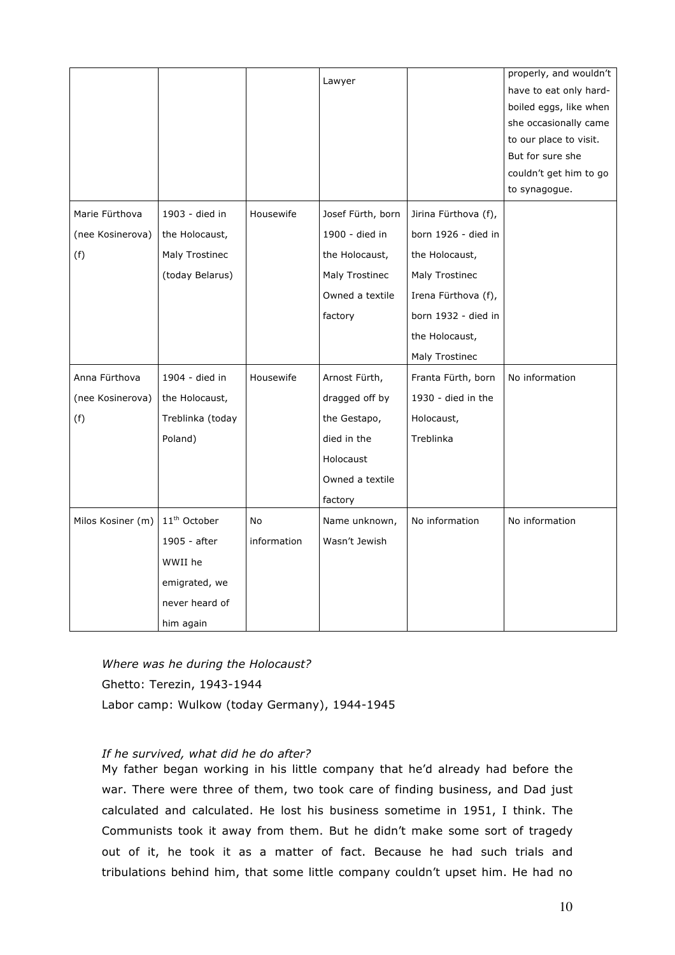|                   |                          |             |                   |                      | properly, and wouldn't |
|-------------------|--------------------------|-------------|-------------------|----------------------|------------------------|
|                   |                          |             | Lawyer            |                      | have to eat only hard- |
|                   |                          |             |                   |                      | boiled eggs, like when |
|                   |                          |             |                   |                      | she occasionally came  |
|                   |                          |             |                   |                      | to our place to visit. |
|                   |                          |             |                   |                      | But for sure she       |
|                   |                          |             |                   |                      | couldn't get him to go |
|                   |                          |             |                   |                      | to synagogue.          |
| Marie Fürthova    | 1903 - died in           | Housewife   | Josef Fürth, born | Jirina Fürthova (f), |                        |
| (nee Kosinerova)  | the Holocaust,           |             | 1900 - died in    | born 1926 - died in  |                        |
| (f)               | Maly Trostinec           |             | the Holocaust,    | the Holocaust,       |                        |
|                   | (today Belarus)          |             | Maly Trostinec    | Maly Trostinec       |                        |
|                   |                          |             | Owned a textile   | Irena Fürthova (f),  |                        |
|                   |                          |             | factory           | born 1932 - died in  |                        |
|                   |                          |             |                   | the Holocaust,       |                        |
|                   |                          |             |                   | Maly Trostinec       |                        |
| Anna Fürthova     | 1904 - died in           | Housewife   | Arnost Fürth,     | Franta Fürth, born   | No information         |
| (nee Kosinerova)  | the Holocaust,           |             | dragged off by    | 1930 - died in the   |                        |
| (f)               | Treblinka (today         |             | the Gestapo,      | Holocaust,           |                        |
|                   | Poland)                  |             | died in the       | Treblinka            |                        |
|                   |                          |             | Holocaust         |                      |                        |
|                   |                          |             | Owned a textile   |                      |                        |
|                   |                          |             | factory           |                      |                        |
| Milos Kosiner (m) | 11 <sup>th</sup> October | No          | Name unknown,     | No information       | No information         |
|                   | 1905 - after             | information | Wasn't Jewish     |                      |                        |
|                   | WWII he                  |             |                   |                      |                        |
|                   | emigrated, we            |             |                   |                      |                        |
|                   | never heard of           |             |                   |                      |                        |
|                   | him again                |             |                   |                      |                        |

*Where was he during the Holocaust?* Ghetto: Terezin, 1943-1944 Labor camp: Wulkow (today Germany), 1944-1945

### *If he survived, what did he do after?*

My father began working in his little company that he'd already had before the war. There were three of them, two took care of finding business, and Dad just calculated and calculated. He lost his business sometime in 1951, I think. The Communists took it away from them. But he didn't make some sort of tragedy out of it, he took it as a matter of fact. Because he had such trials and tribulations behind him, that some little company couldn't upset him. He had no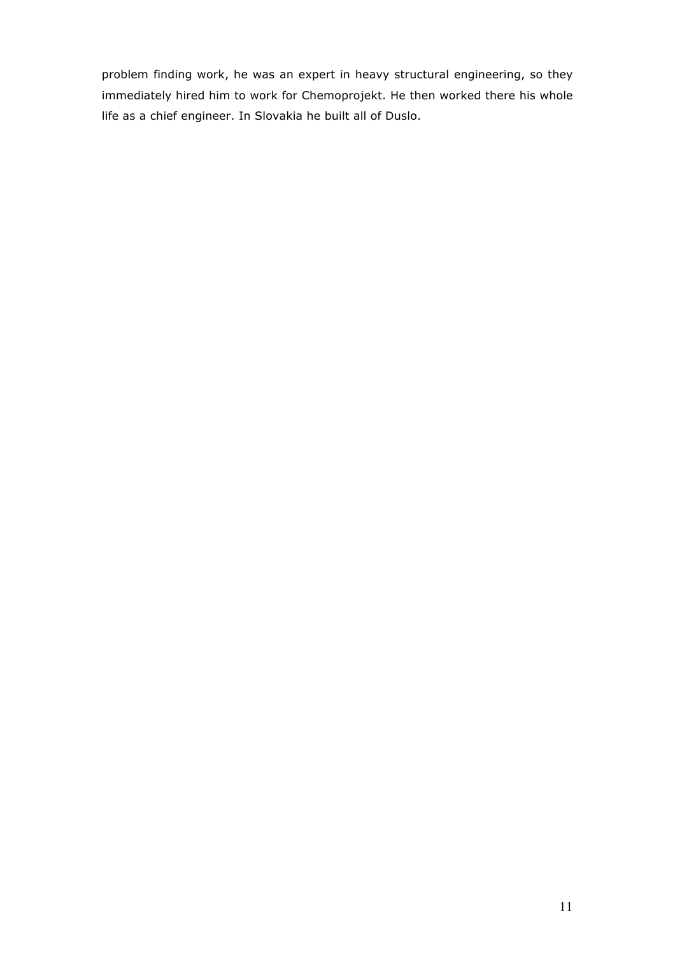problem finding work, he was an expert in heavy structural engineering, so they immediately hired him to work for Chemoprojekt. He then worked there his whole life as a chief engineer. In Slovakia he built all of Duslo.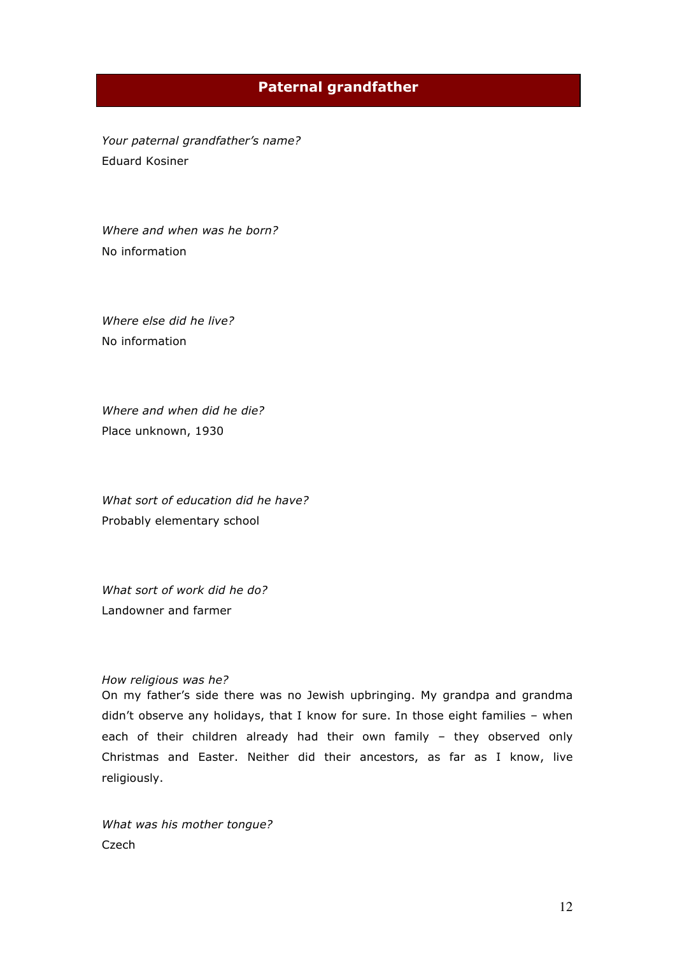## **Paternal grandfather**

*Your paternal grandfather's name?* Eduard Kosiner

*Where and when was he born?* No information

*Where else did he live?* No information

*Where and when did he die?*  Place unknown, 1930

*What sort of education did he have?* Probably elementary school

*What sort of work did he do?* Landowner and farmer

#### *How religious was he?*

On my father's side there was no Jewish upbringing. My grandpa and grandma didn't observe any holidays, that I know for sure. In those eight families – when each of their children already had their own family – they observed only Christmas and Easter. Neither did their ancestors, as far as I know, live religiously.

*What was his mother tongue?*  Czech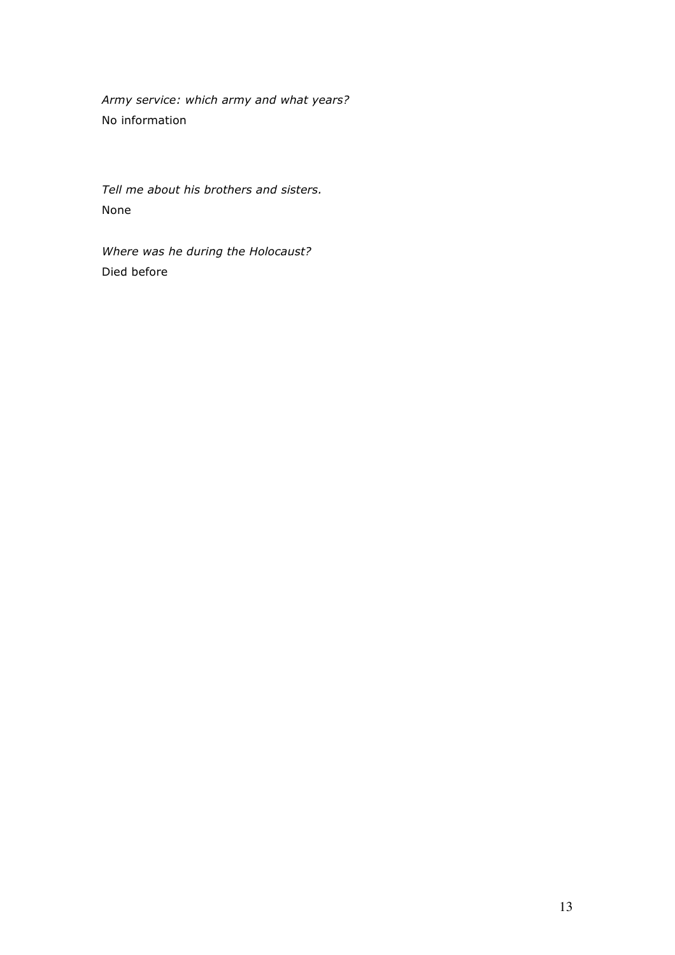*Army service: which army and what years?* No information

*Tell me about his brothers and sisters.* None

*Where was he during the Holocaust?* Died before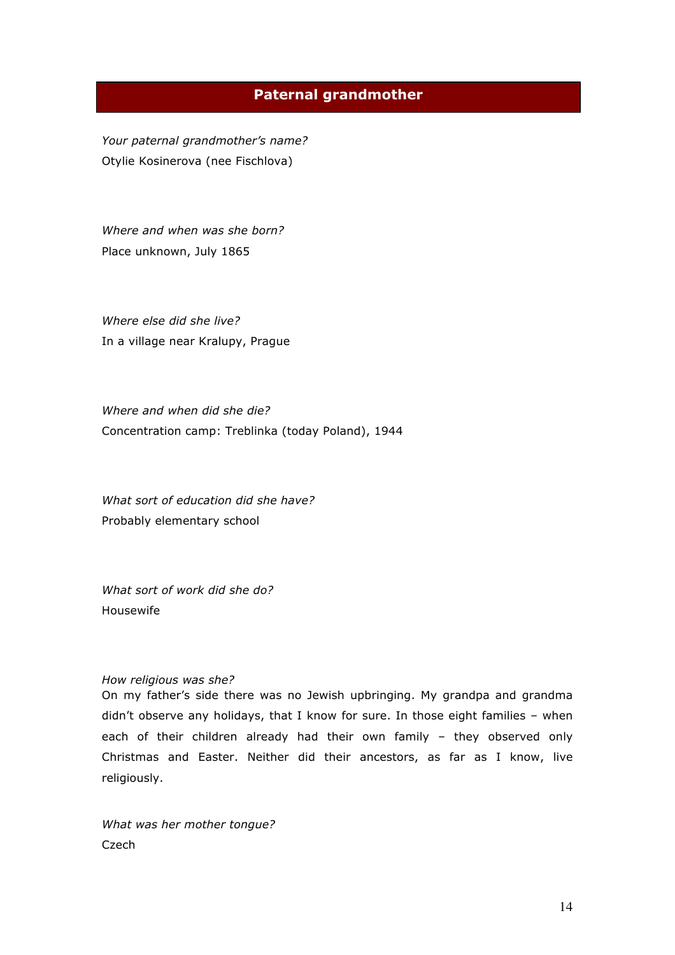## **Paternal grandmother**

*Your paternal grandmother's name?* Otylie Kosinerova (nee Fischlova)

*Where and when was she born?*  Place unknown, July 1865

*Where else did she live?* In a village near Kralupy, Prague

*Where and when did she die?* Concentration camp: Treblinka (today Poland), 1944

*What sort of education did she have?* Probably elementary school

*What sort of work did she do?* Housewife

#### *How religious was she?*

On my father's side there was no Jewish upbringing. My grandpa and grandma didn't observe any holidays, that I know for sure. In those eight families – when each of their children already had their own family – they observed only Christmas and Easter. Neither did their ancestors, as far as I know, live religiously.

*What was her mother tongue?*  Czech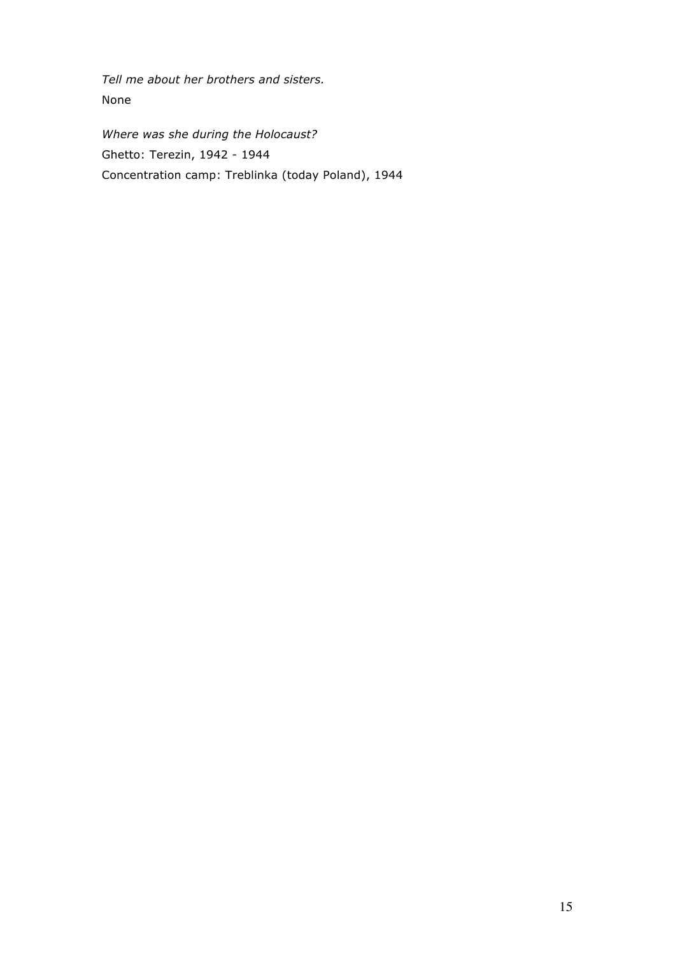*Tell me about her brothers and sisters.* None

*Where was she during the Holocaust?* Ghetto: Terezin, 1942 - 1944 Concentration camp: Treblinka (today Poland), 1944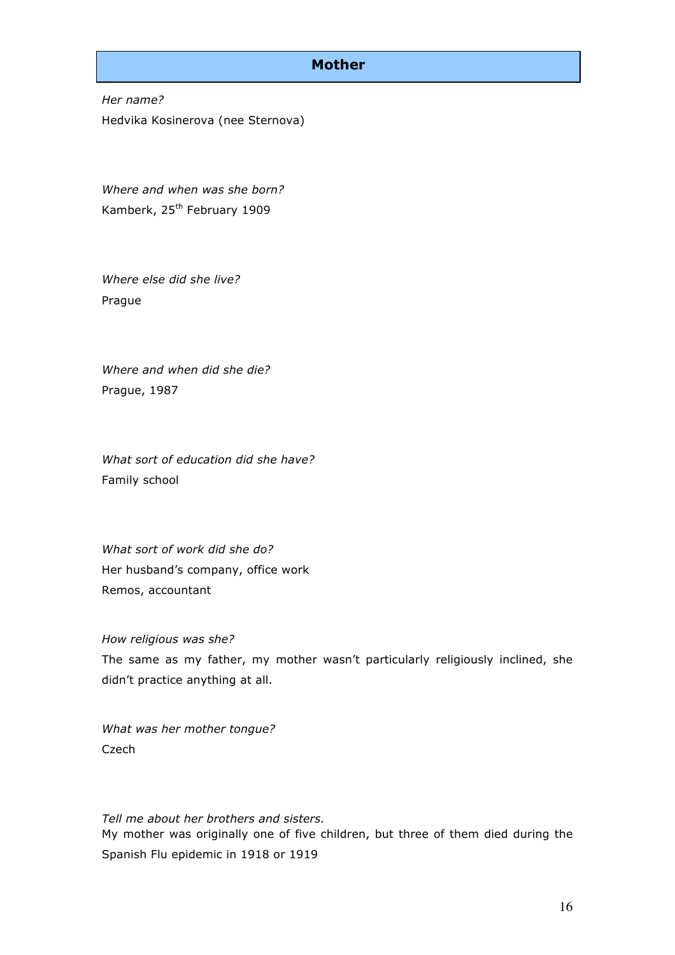## **Mother**

*Her name?* Hedvika Kosinerova (nee Sternova)

*Where and when was she born?* Kamberk, 25<sup>th</sup> February 1909

*Where else did she live?* Prague

*Where and when did she die?* Prague, 1987

*What sort of education did she have?* Family school

*What sort of work did she do?* Her husband's company, office work Remos, accountant

*How religious was she?* The same as my father, my mother wasn't particularly religiously inclined, she didn't practice anything at all.

*What was her mother tongue?*  Czech

*Tell me about her brothers and sisters.*  My mother was originally one of five children, but three of them died during the Spanish Flu epidemic in 1918 or 1919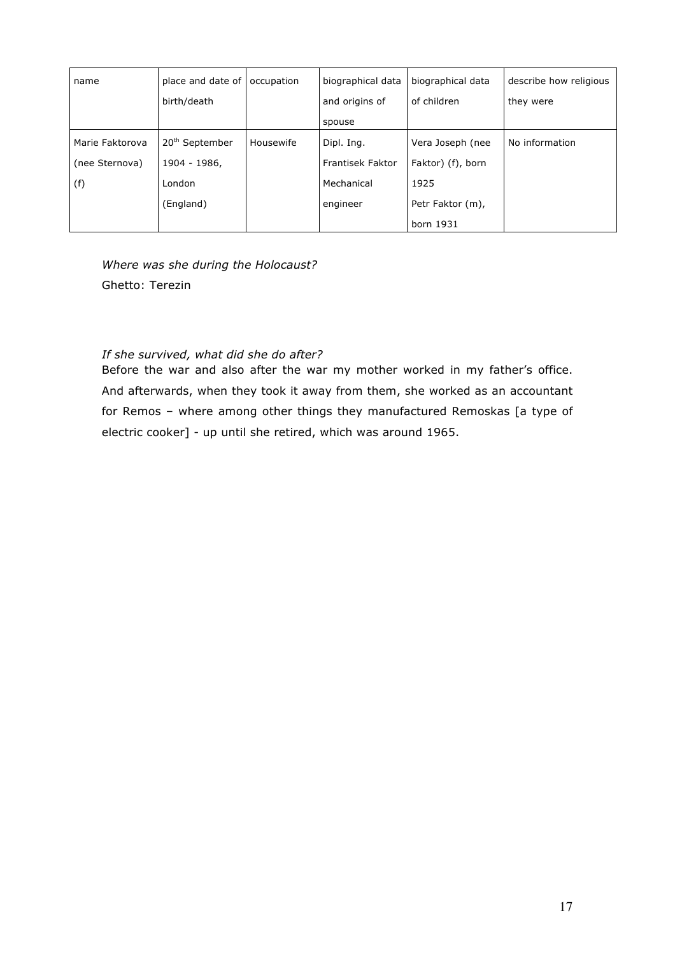| name            | place and date of          | occupation | biographical data       | biographical data | describe how religious |
|-----------------|----------------------------|------------|-------------------------|-------------------|------------------------|
|                 | birth/death                |            | and origins of          | of children       | they were              |
|                 |                            |            | spouse                  |                   |                        |
| Marie Faktorova | 20 <sup>th</sup> September | Housewife  | Dipl. Ing.              | Vera Joseph (nee  | No information         |
| (nee Sternova)  | 1904 - 1986,               |            | <b>Frantisek Faktor</b> | Faktor) (f), born |                        |
| (f)             | London                     |            | Mechanical              | 1925              |                        |
|                 | (England)                  |            | engineer                | Petr Faktor (m),  |                        |
|                 |                            |            |                         | born 1931         |                        |

*Where was she during the Holocaust?* Ghetto: Terezin

### *If she survived, what did she do after?*

Before the war and also after the war my mother worked in my father's office. And afterwards, when they took it away from them, she worked as an accountant for Remos – where among other things they manufactured Remoskas [a type of electric cooker] - up until she retired, which was around 1965.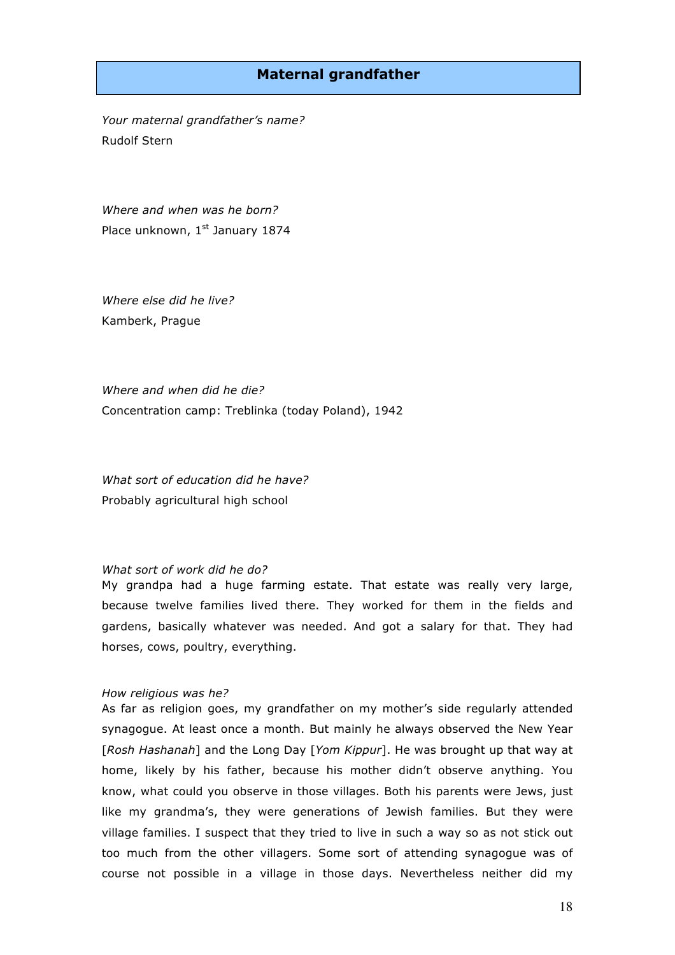## **Maternal grandfather**

*Your maternal grandfather's name?*  Rudolf Stern

*Where and when was he born?* Place unknown, 1st January 1874

*Where else did he live?* Kamberk, Prague

*Where and when did he die?*  Concentration camp: Treblinka (today Poland), 1942

*What sort of education did he have?* Probably agricultural high school

#### *What sort of work did he do?*

My grandpa had a huge farming estate. That estate was really very large, because twelve families lived there. They worked for them in the fields and gardens, basically whatever was needed. And got a salary for that. They had horses, cows, poultry, everything.

#### *How religious was he?*

As far as religion goes, my grandfather on my mother's side regularly attended synagogue. At least once a month. But mainly he always observed the New Year [*Rosh Hashanah*] and the Long Day [*Yom Kippur*]. He was brought up that way at home, likely by his father, because his mother didn't observe anything. You know, what could you observe in those villages. Both his parents were Jews, just like my grandma's, they were generations of Jewish families. But they were village families. I suspect that they tried to live in such a way so as not stick out too much from the other villagers. Some sort of attending synagogue was of course not possible in a village in those days. Nevertheless neither did my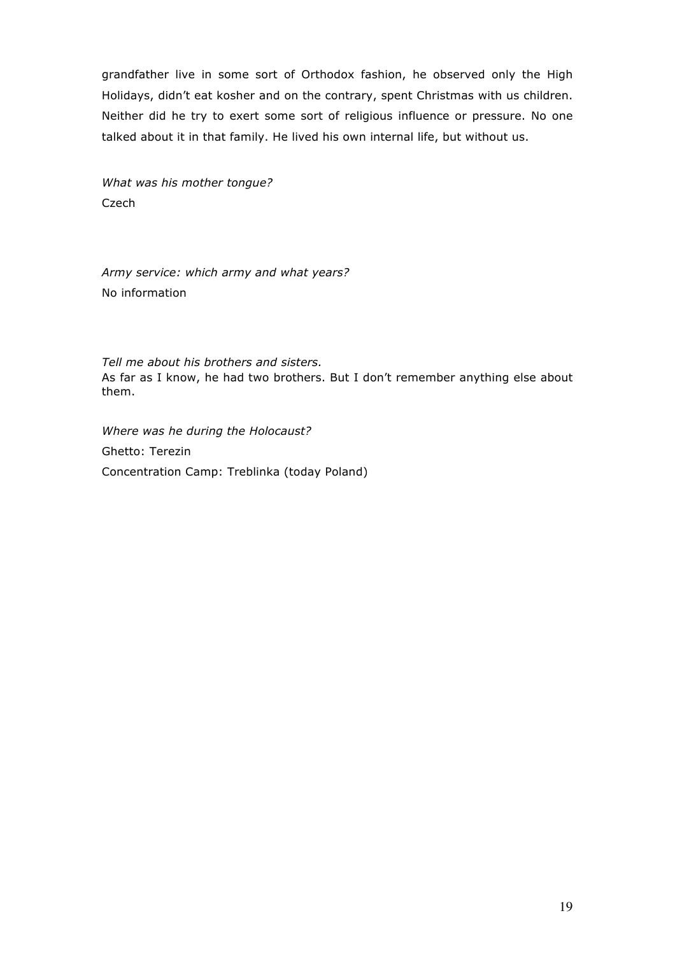grandfather live in some sort of Orthodox fashion, he observed only the High Holidays, didn't eat kosher and on the contrary, spent Christmas with us children. Neither did he try to exert some sort of religious influence or pressure. No one talked about it in that family. He lived his own internal life, but without us.

*What was his mother tongue?*  Czech

*Army service: which army and what years?* No information

*Tell me about his brothers and sisters.* As far as I know, he had two brothers. But I don't remember anything else about them.

*Where was he during the Holocaust?* Ghetto: Terezin Concentration Camp: Treblinka (today Poland)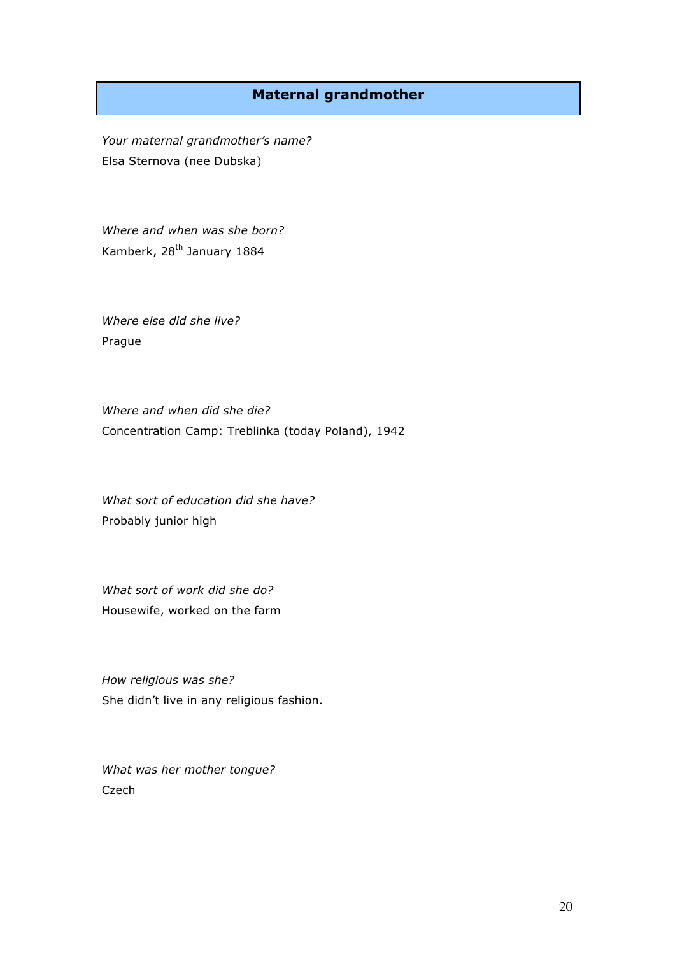# **Maternal grandmother**

*Your maternal grandmother's name?* Elsa Sternova (nee Dubska)

*Where and when was she born?* Kamberk, 28<sup>th</sup> January 1884

*Where else did she live?* Prague

*Where and when did she die?* Concentration Camp: Treblinka (today Poland), 1942

*What sort of education did she have?* Probably junior high

*What sort of work did she do?* Housewife, worked on the farm

*How religious was she?*  She didn't live in any religious fashion.

*What was her mother tongue?*  Czech